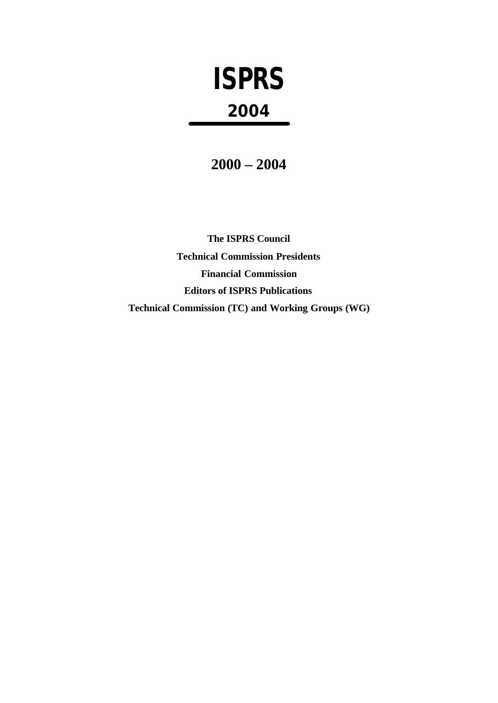# **ISPRS 2004**

**2000 – 2004**

**The ISPRS Council Technical Commission Presidents Financial Commission Editors of ISPRS Publications Technical Commission (TC) and Working Groups (WG)**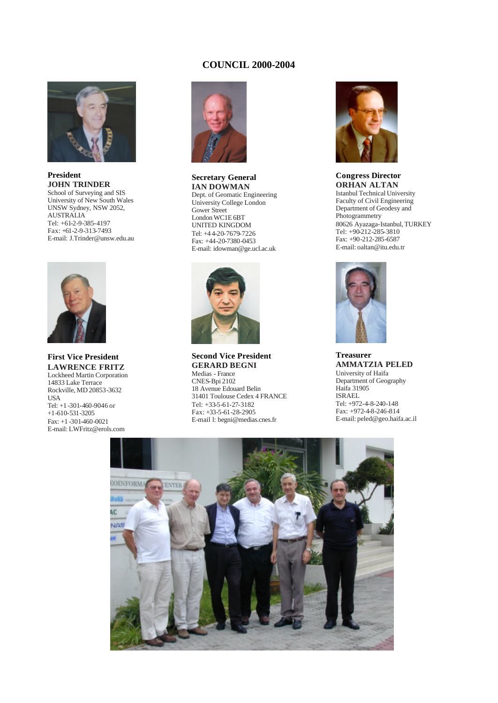# **COUNCIL 2000-2004**



### **President JOHN TRINDER** School of Surveying and SIS University of New South Wales UNSW Sydney, NSW 2052, AUSTRALIA

Tel: +61-2-9-385-4197 Fax: +61-2-9-313-7493 E-mail: J.Trinder@unsw.edu.au



### **First Vice President LAWRENCE FRITZ** Lockheed Martin Corporation 14833 Lake Terrace Rockville, MD 20853-3632 USA Tel: +1 -301-460-9046 or +1-610-531-3205 Fax: +1 -301-460-0021 E-mail: LWFritz@erols.com



**Secretary General IAN DOWMAN** Dept. of Geomatic Engineering University College London Gower Street London WC1E 6BT UNITED KINGDOM Tel: +4 4-20-7679-7226 Fax: +44-20-7380-0453 E-mail: idowman@ge.ucl.ac.uk



**Second Vice President GERARD BEGNI** Medias - France

CNES-Bpi 2102 18 Avenue Edouard Belin 31401 Toulouse Cedex 4 FRANCE Tel: +33-5-61-27-3182 Fax: +33-5-61-28-2905 E-mail l: begni@medias.cnes.fr



**Congress Director ORHAN ALTAN** Istanbul Technical University Faculty of Civil Engineering Department of Geodesy and Photogrammetry 80626 Ayazaga-Istanbul, TURKEY Tel: +90-212-285-3810 Fax: +90-212-285-6587 E-mail: oaltan@itu.edu.tr



**Treasurer AMMATZIA PELED** University of Haifa Department of Geography Haifa 31905 ISRAEL Tel: +972-4-8-240-148 Fax: +972-4-8-246-814 E-mail: peled@geo.haifa.ac.il

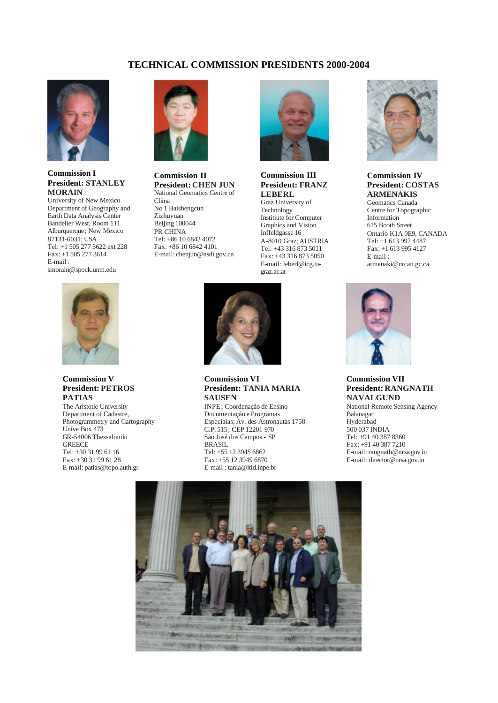# **TECHNICAL COMMISSION PRESIDENTS 2000-2004**



# **Commission I President: STANLEY MORAIN**

University of New Mexico Department of Geography and Earth Data Analysis Center Bandelier West, Room 111 Alburquerque; New Mexico 87131-6031; USA Tel: +1 505 277 3622 ext 228 Fax: +1 505 277 3614 E-mail : smorain@spock.unm.edu



# **Commission V President: PETROS PATIAS**

The Aristotle University Department of Cadastre, Photogrammetry and Cartography Unive Box 473 GR-54006 Thessaloniki **GREECE** Tel: +30 31 99 61 16 Fax: +30 31 99 61 28 E-mail: patias@topo.auth.gr



**Commission II President: CHEN JUN** National Geomatics Centre of China No 1 Baishengcun Zizhuyuan Beijing 100044 PR CHINA Tel: +86 10 6842 4072 Fax: +86 10 6842 4101 E-mail: chenjun@nsdi.gov.cn



# **Commission III President: FRANZ LEBERL**

Graz University of Technology Institiute for Computer Graphics and Vision Inffeldgasse 16 A-8010 Graz; AUSTRIA Tel: +43 316 873 5011 Fax: +43 316 873 5050 E-mail: leberl@icg.tugraz.ac.at



**Commission VI President: TANIA MARIA SAUSEN**

INPE; Coordenaçåo de Ensino Documentaçåo e Programas Especiaias; Av. des Astronautas 1758 C.P. 515; CEP 12201-970 Såo José dos Campos - SP BRASIL Tel: +55 12 3945 6862 Fax: +55 12 3945 6870 E-mail : tania@ltid.inpe.br



# **Commission IV President: COSTAS ARMENAKIS**

Geomatics Canada Centre for Topographic Information 615 Booth Street Ontario K1A 0E9, CANADA Tel: +1 613 992 4487 Fax: +1 613 995 4127 E-mail : armenaki@nrcan.gc.ca



# **Commission VII President: RANGNATH NAVALGUND**

National Remote Sensing Agency Balanagar Hyderabad 500 037 INDIA Tel: +91 40 387 8360 Fax: +91 40 387 7210 E-mail: rangnath@nrsa.gov.in E-mail: director@nrsa.gov.in

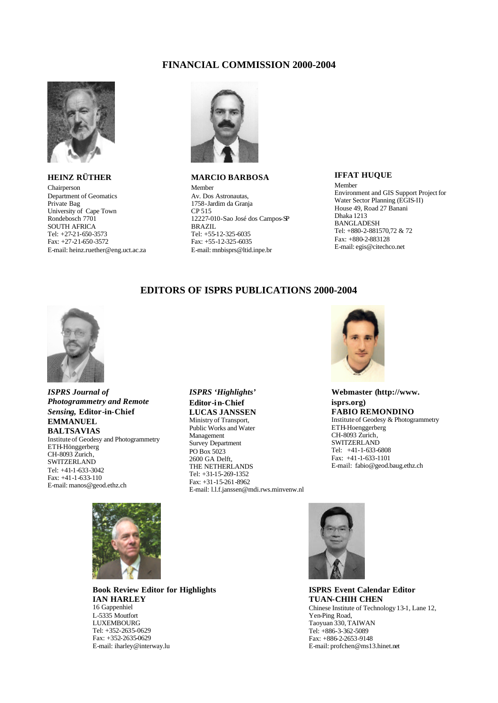# **FINANCIAL COMMISSION 2000-2004**



# **HEINZ RÜTHER**

Chairperson Department of Geomatics Private Bag University of Cape Town Rondebosch 7701 SOUTH AFRICA Tel: +27-21-650-3573 Fax: +27-21-650-3572 E-mail: heinz.ruether@eng.uct.ac.za



# **MARCIO BARBOSA**

Member Av. Dos Astronautas, 1758-Jardim da Granja CP 515 12227-010-Sao José dos Campos-SP BRAZIL Tel: +55-12-325-6035 Fax: +55-12-325-6035 E-mail: mnbisprs@ltid.inpe.br

# **IFFAT HUQUE**

Member Environment and GIS Support Project for Water Sector Planning (EGIS-II) House 49, Road 27 Banani Dhaka 1213 **BANGLADESH** Tel: +880-2-881570,72 & 72 Fax: +880-2-883128 E-mail: egis@citechco.net

# **EDITORS OF ISPRS PUBLICATIONS 2000-2004**



### *ISPRS Journal of Photogrammetry and Remote Sensing,* **Editor-in-Chief EMMANUEL BALTSAVIAS** Institute of Geodesy and Photogrammetry ETH-Hönggerberg CH-8093 Zurich, **SWITZERLAND** Tel: +41-1-633-3042 Fax: +41-1-633-110 E-mail: manos@geod.ethz.ch



E-mail: l.l.f.janssen@mdi.rws.minvenw.nl



**Webmaster (http://www. isprs.org) FABIO REMONDINO** Institute of Geodesy & Photogrammetry ETH-Hoenggerberg CH-8093 Zurich, **SWITZERLAND** Tel: +41-1-633-6808 Fax: +41-1-633-1101 E-mail: fabio@geod.baug.ethz.ch



**Book Review Editor for Highlights IAN HARLEY** 16 Gappenhiel L-5335 Moutfort LUXEMBOURG Tel: +352-2635-0629 Fax: +352-2635-0629 E-mail: iharley@interway.lu



**ISPRS Event Calendar Editor TUAN-CHIH CHEN** Chinese Institute of Technology 13-1, Lane 12, Yen-Ping Road, Taoyuan 330, TAIWAN Tel: +886-3-362-5089 Fax: +886-2-2653-9148 E-mail: profchen@ms13.hinet.net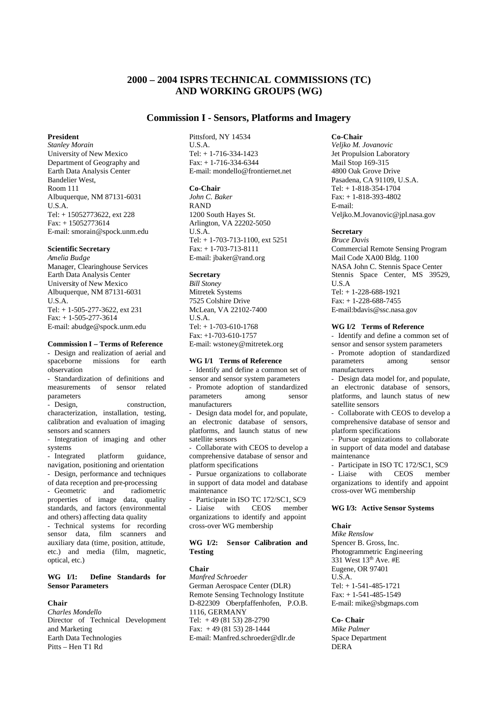# **2000 – 2004 ISPRS TECHNICAL COMMISSIONS (TC) AND WORKING GROUPS (WG)**

# **Commission I - Sensors, Platforms and Imagery**

### **President**

*Stanley Morain* University of New Mexico Department of Geography and Earth Data Analysis Center Bandelier West, Room 111 Albuquerque, NM 87131-6031 U.S.A. Tel: + 15052773622, ext 228 Fax: + 15052773614 E-mail: smorain@spock.unm.edu

### **Scientific Secretary**

*Amelia Budge* Manager, Clearinghouse Services Earth Data Analysis Center University of New Mexico Albuquerque, NM 87131-6031 U.S.A. Tel: + 1-505-277-3622, ext 231 Fax: + 1-505-277-3614 E-mail: abudge@spock.unm.edu

### **Commission I – Terms of Reference**

- Design and realization of aerial and<br>spaceborne missions for earth missions for earth observation

- Standardization of definitions and measurements of sensor related parameters

- Design, construction, characterization, installation, testing, calibration and evaluation of imaging sensors and scanners

- Integration of imaging and other systems

- Integrated platform guidance, navigation, positioning and orientation - Design, performance and techniques of data reception and pre-processing - Geometric and radiometric properties of image data, quality standards, and factors (environmental and others) affecting data quality - Technical systems for recording

sensor data, film scanners and auxiliary data (time, position, attitude, etc.) and media (film, magnetic, optical, etc.)

### **WG I/1: Define Standards for Sensor Parameters**

# **Chair**

*Charles Mondello*  Director of Technical Development and Marketing Earth Data Technologies Pitts – Hen T1 Rd

Pittsford, NY 14534 U.S.A. Tel: + 1-716-334-1423 Fax: + 1-716-334-6344 E-mail: mondello@frontiernet.net

### **Co-Chair**

*John C. Baker*  RAND 1200 South Hayes St. Arlington, VA 22202-5050 U.S.A. Tel: + 1-703-713-1100, ext 5251 Fax: + 1-703-713-8111 E-mail: jbaker@rand.org

### **Secretary**

*Bill Stoney* Mitretek Systems 7525 Colshire Drive McLean, VA 22102-7400 U.S.A. Tel: + 1-703-610-1768 Fax: +1-703-610-1757 E-mail: wstoney@mitretek.org

### **WG I/1 Terms of Reference**

- Identify and define a common set of sensor and sensor system parameters

- Promote adoption of standardized parameters among sensor manufacturers

- Design data model for, and populate, an electronic database of sensors, platforms, and launch status of new satellite sensors

- Collaborate with CEOS to develop a comprehensive database of sensor and platform specifications

Pursue organizations to collaborate in support of data model and database maintenance

- Participate in ISO TC 172/SC1, SC9 - Liaise with CEOS member organizations to identify and appoint cross-over WG membership

# **WG I/2: Sensor Calibration and Testing**

# **Chair**

*Manfred Schroeder*  German Aerospace Center (DLR) Remote Sensing Technology Institute D-822309 Oberpfaffenhofen, P.O.B. 1116, GERMANY Tel:  $+49(8153)28-2790$ Fax: + 49 (81 53) 28-1444 E-mail: Manfred.schroeder@dlr.de

# **Co-Chair**

*Veljko M. Jovanovic* Jet Propulsion Laboratory Mail Stop 169-315 4800 Oak Grove Drive Pasadena, CA 91109, U.S.A. Tel: + 1-818-354-1704 Fax: + 1-818-393-4802 E-mail: Veljko.M.Jovanovic@jpl.nasa.gov

# **Secretary**

*Bruce Davis*  Commercial Remote Sensing Program Mail Code XA00 Bldg. 1100 NASA John C. Stennis Space Center Stennis Space Center, MS 39529, U.S.A Tel: + 1-228-688-1921 Fax: + 1-228-688-7455 E-mail:bdavis@ssc.nasa.gov

### **WG I/2 Terms of Reference**

- Identify and define a common set of sensor and sensor system parameters - Promote adoption of standardized<br>parameters among sensor parameters manufacturers

- Design data model for, and populate, an electronic database of sensors, platforms, and launch status of new satellite sensors

- Collaborate with CEOS to develop a comprehensive database of sensor and platform specifications

- Pursue organizations to collaborate in support of data model and database maintenance

- Participate in ISO TC 172/SC1, SC9 - Liaise with CEOS member organizations to identify and appoint cross-over WG membership

### **WG I/3: Active Sensor Systems**

### **Chair**

*Mike Renslow* Spencer B. Gross, Inc. Photogrammetric Engineering 331 West  $13<sup>th</sup>$  Ave. #E Eugene, OR 97401 U.S.A. Tel: + 1-541-485-1721 Fax: + 1-541-485-1549 E-mail: mike@sbgmaps.com

#### **Co- Chair**

*Mike Palmer* Space Department DERA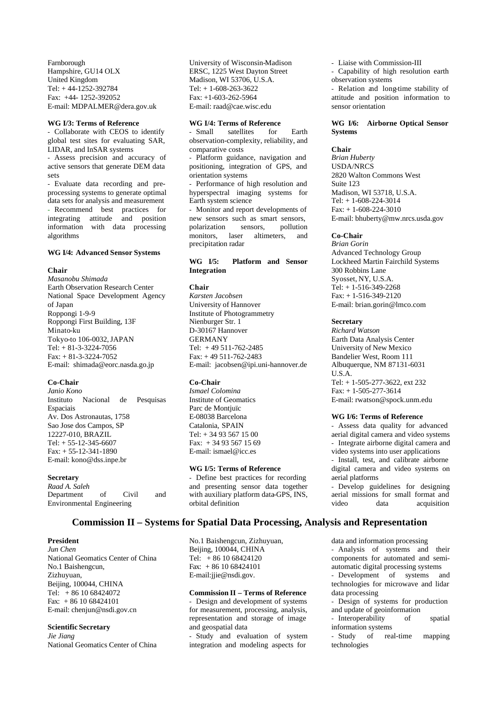Farnborough Hampshire, GU14 OLX United Kingdom Tel: + 44-1252-392784 Fax: +44- 1252-392052 E-mail: MDPALMER@dera.gov.uk

### **WG I/3: Terms of Reference**

- Collaborate with CEOS to identify global test sites for evaluating SAR, LIDAR, and InSAR systems

- Assess precision and accuracy of active sensors that generate DEM data sets

- Evaluate data recording and preprocessing systems to generate optimal data sets for analysis and measurement - Recommend best practices for integrating attitude and position information with data processing algorithms

### **WG I/4: Advanced Sensor Systems**

### **Chair**

*Masanobu Shimada* Earth Observation Research Center National Space Development Agency of Japan Roppongi 1-9-9 Roppongi First Building, 13F Minato-ku Tokyo-to 106-0032, JAPAN Tel: + 81-3-3224-7056 Fax: + 81-3-3224-7052 E-mail: shimada@eorc.nasda.go.jp

# **Co-Chair**

*Janio Kono* Instituto Nacional de Pesquisas **Espaciais** Av. Dos Astronautas, 1758 Sao Jose dos Campos, SP 12227-010, BRAZIL Tel: + 55-12-345-6607 Fax: + 55-12-341-1890 E-mail: kono@dss.inpe.br

# **Secretary**

*Raad A. Saleh* Department of Civil and Environmental Engineering

University of Wisconsin-Madison ERSC, 1225 West Dayton Street Madison, WI 53706, U.S.A. Tel: + 1-608-263-3622 Fax: +1-603-262-5964 E-mail: raad@cae.wisc.edu

### **WG I/4: Terms of Reference**

- Small satellites for Earth observation-complexity, reliability, and comparative costs

- Platform guidance, navigation and positioning, integration of GPS, and orientation systems

- Performance of high resolution and hyperspectral imaging systems for Earth system science

- Monitor and report developments of new sensors such as smart sensors,<br>polarization sensors, pollution polarization sensors, monitors, laser altimeters, and precipitation radar

### **WG I/5: Platform and Sensor Integration**

#### **Chair**

*Karsten Jacobsen*  University of Hannover Institute of Photogrammetry Nienburger Str. 1 D-30167 Hannover GERMANY Tel: + 49 511-762-2485 Fax: + 49 511-762-2483 E-mail: jacobsen@ipi.uni-hannover.de

### **Co-Chair**

*Ismael Colomina*  Institute of Geomatics Parc de Montiuïc E-08038 Barcelona Catalonia, SPAIN Tel: + 34 93 567 15 00 Fax: + 34 93 567 15 69 E-mail: ismael@icc.es

### **WG I/5: Terms of Reference**

- Define best practices for recording and presenting sensor data together with auxiliary platform data-GPS, INS, orbital definition

- Liaise with Commission-III

- Capability of high resolution earth observation systems

- Relation and long-time stability of attitude and position information to sensor orientation

# **WG I/6: Airborne Optical Sensor Systems**

#### **Chair**

*Brian Huberty*  USDA/NRCS 2820 Walton Commons West Suite 123 Madison, WI 53718, U.S.A. Tel: + 1-608-224-3014 Fax: + 1-608-224-3010 E-mail: bhuberty@mw.nrcs.usda.gov

### **Co-Chair**

*Brian Gorin* Advanced Technology Group Lockheed Martin Fairchild Systems 300 Robbins Lane Syosset, NY, U.S.A. Tel: + 1-516-349-2268 Fax: + 1-516-349-2120 E-mail: brian.gorin@lmco.com

### **Secretary**

*Richard Watson* Earth Data Analysis Center University of New Mexico Bandelier West, Room 111 Albuquerque, NM 87131-6031 U.S.A. Tel: + 1-505-277-3622, ext 232 Fax: + 1-505-277-3614 E-mail: rwatson@spock.unm.edu

### **WG I/6: Terms of Reference**

- Assess data quality for advanced aerial digital camera and video systems - Integrate airborne digital camera and video systems into user applications

- Install, test, and calibrate airborne digital camera and video systems on aerial platforms

- Develop guidelines for designing aerial missions for small format and video data acquisition

# **Commission II – Systems for Spatial Data Processing, Analysis and Representation**

### **President**

*Jun Chen* National Geomatics Center of China No.1 Baishengcun, Zizhuyuan, Beijing, 100044, CHINA Tel: + 86 10 68424072 Fax: + 86 10 68424101 E-mail: chenjun@nsdi.gov.cn

# **Scientific Secretary**

*Jie Jiang* National Geomatics Center of China No.1 Baishengcun, Zizhuyuan, Beijing, 100044, CHINA Tel: + 86 10 68424120 Fax: + 86 10 68424101 E-mail:jjie@nsdi.gov.

### **Commission II – Terms of Reference**

Design and development of systems for measurement, processing, analysis, representation and storage of image and geospatial data

- Study and evaluation of system integration and modeling aspects for

data and information processing

- Analysis of systems and their components for automated and semiautomatic digital processing systems

- Development of systems and technologies for microwave and lidar data processing

- Design of systems for production and update of geoinformation

- Interoperability of spatial information systems

- Study of real-time mapping technologies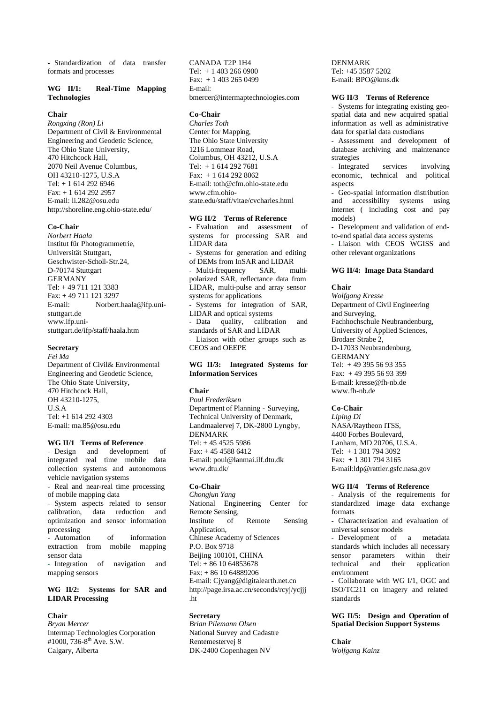- Standardization of data transfer formats and processes

# **WG II/1: Real-Time Mapping Technologies**

# **Chair**

*Rongxing (Ron) Li* Department of Civil & Environmental Engineering and Geodetic Science, The Ohio State University, 470 Hitchcock Hall, 2070 Neil Avenue Columbus, OH 43210-1275, U.S.A Tel: + 1 614 292 6946 Fax: + 1 614 292 2957 E-mail: li.282@osu.edu http://shoreline.eng.ohio-state.edu/

# **Co-Chair**

*Norbert Haala* Institut für Photogrammetrie, Universität Stuttgart, Geschwister-Scholl-Str.24, D-70174 Stuttgart GERMANY Tel: + 49 711 121 3383 Fax: + 49 711 121 3297 E-mail: Norbert.haala@ifp.unistuttgart.de www.ifp.unistuttgart.de/ifp/staff/haala.htm

### **Secretary**

*Fei Ma* Department of Civil& Environmental Engineering and Geodetic Science, The Ohio State University, 470 Hitchcock Hall, OH 43210-1275, U.S.A Tel: +1 614 292 4303 E-mail: ma.85@osu.edu

# **WG II/1 Terms of Reference**

- Design and development of integrated real time mobile data collection systems and autonomous vehicle navigation systems

- Real and near-real time processing of mobile mapping data

- System aspects related to sensor calibration, data reduction and optimization and sensor information processing<br>- Automation

of information extraction from mobile mapping sensor data

- Integration of navigation and mapping sensors

# **WG II/2: Systems for SAR and LIDAR Processing**

## **Chair**

*Bryan Mercer* Intermap Technologies Corporation #1000, 736-8<sup>th</sup> Ave. S.W. Calgary, Alberta

CANADA T2P 1H4 Tel: + 1 403 266 0900 Fax: + 1 403 265 0499 E-mail: bmercer@intermaptechnologies.com

#### **Co-Chair**

*Charles Toth* Center for Mapping, The Ohio State University 1216 Lommear Road, Columbus, OH 43212, U.S.A Tel: + 1 614 292 7681 Fax: + 1 614 292 8062 E-mail: toth@cfm.ohio-state.edu www.cfm.ohiostate.edu/staff/vitae/cvcharles.html

# **WG II/2 Terms of Reference**

- Evaluation and assessment of systems for processing SAR and LIDAR data - Systems for generation and editing of DEMs from InSAR and LIDAR - Multi-frequency SAR, multipolarized SAR, reflectance data from LIDAR, multi-pulse and array sensor systems for applications Systems for integration of SAR, LIDAR and optical systems - Data quality, calibration and standards of SAR and LIDAR - Liaison with other groups such as CEOS and OEEPE

# **WG II/3: Integrated Systems for Information Services**

### **Chair**

*Poul Frederiksen* Department of Planning - Surveying, Technical University of Denmark, Landmaalervej 7, DK-2800 Lyngby, DENMARK Tel: + 45 4525 5986 Fax: + 45 4588 6412 E-mail: poul@lanmai.ilf.dtu.dk www.dtu.dk/

### **Co-Chair**

*Chongjun Yang* National Engineering Center for Remote Sensing, Institute of Remote Sensing Application, Chinese Academy of Sciences P.O. Box 9718 Beijing 100101, CHINA Tel: + 86 10 64853678 Fax: + 86 10 64889206 E-mail: Cjyang@digitalearth.net.cn http://page.irsa.ac.cn/seconds/rcyj/ycjjj .ht

# **Secretary**

*Brian Pilemann Olsen* National Survey and Cadastre Rentemestervej 8 DK-2400 Copenhagen NV

DENMARK Tel: +45 3587 5202 E-mail: BPO@kms.dk

### **WG II/3 Terms of Reference**

- Systems for integrating existing geospatial data and new acquired spatial information as well as administrative data for spat ial data custodians

- Assessment and development of database archiving and maintenance strategies

- Integrated services involving economic, technical and political aspects

- Geo-spatial information distribution and accessibility systems using internet ( including cost and pay models)

- Development and validation of endto-end spatial data access systems

- Liaison with CEOS WGISS and other relevant organizations

### **WG II/4: Image Data Standard**

### **Chair**

*Wolfgang Kresse* Department of Civil Engineering and Surveying, Fachhochschule Neubrandenburg, University of Applied Sciences, Brodaer Strabe 2, D-17033 Neubrandenburg, GERMANY Tel: + 49 395 56 93 355 Fax: + 49 395 56 93 399 E-mail: kresse@fh-nb.de www.fh-nb.de

# **Co-Chair**

*Liping Di* NASA/Raytheon ITSS, 4400 Forbes Boulevard, Lanham, MD 20706, U.S.A. Tel: + 1 301 794 3092 Fax: + 1 301 794 3165 E-mail:ldp@rattler.gsfc.nasa.gov

# **WG II/4 Terms of Reference**

- Analysis of the requirements for standardized image data exchange formats

- Characterization and evaluation of universal sensor models

- Development of a metadata standards which includes all necessary sensor parameters within their technical and their application environment

- Collaborate with WG I/1, OGC and ISO/TC211 on imagery and related standards

### **WG II/5: Design and Operation of Spatial Decision Support Systems**

**Chair** *Wolfgang Kainz*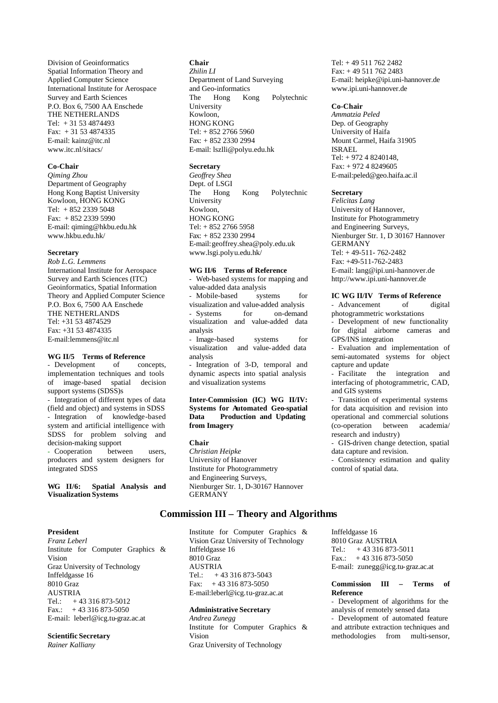Division of Geoinformatics Spatial Information Theory and Applied Computer Science International Institute for Aerospace Survey and Earth Sciences P.O. Box 6, 7500 AA Enschede THE NETHERLANDS Tel: + 31 53 4874493 Fax: + 31 53 4874335 E-mail: kainz@itc.nl www.itc.nl/sitacs/

### **Co-Chair**

*Qiming Zhou* Department of Geography Hong Kong Baptist University Kowloon, HONG KONG Tel: + 852 2339 5048 Fax: + 852 2339 5990 E-mail: qiming@hkbu.edu.hk www.hkbu.edu.hk/

# **Secretary**

*Rob L.G. Lemmens* International Institute for Aerospace Survey and Earth Sciences (ITC) Geoinformatics, Spatial Information Theory and Applied Computer Science P.O. Box 6, 7500 AA Enschede THE NETHERLANDS Tel: +31 53 4874529 Fax: +31 53 4874335 E-mail:lemmens@itc.nl

# **WG II/5 Terms of Reference**

- Development of concepts, implementation techniques and tools of image-based spatial decision support systems (SDSS)s - Integration of different types of data (field and object) and systems in SDSS - Integration of knowledge-based system and artificial intelligence with SDSS for problem solving and decision-making support - Cooperation between users, producers and system designers for integrated SDSS

### **WG II/6: Spatial Analysis and Visualization Systems**

### **President**

*Franz Leberl*  Institute for Computer Graphics & Vision Graz University of Technology Inffeldgasse 16 8010 Graz AUSTRIA Tel.:  $+43316873-5012$ Fax.:  $+43316873-5050$ E-mail: leberl@icg.tu-graz.ac.at

# **Scientific Secretary**

*Rainer Kalliany*

# **Chair**

*Zhilin LI* Department of Land Surveying and Geo-informatics The Hong Kong Polytechnic University Kowloon, HONG KONG Tel: + 852 2766 5960 Fax: + 852 2330 2994 E-mail: lszlli@polyu.edu.hk

# **Secretary**

*Geoffrey Shea* Dept. of LSGI The Hong Kong Polytechnic University Kowloon, HONG KONG Tel: + 852 2766 5958 Fax: + 852 2330 2994 E-mail:geoffrey.shea@poly.edu.uk www.lsgi.polyu.edu.hk/

# **WG II/6 Terms of Reference**

- Web-based systems for mapping and value-added data analysis<br>- Mobile-based systems - Mobile-based systems for visualization and value-added analysis - Systems for on-demand visualization and value-added data analysis - Image-based systems for visualization and value-added data analysis Integration of 3-D, temporal and

dynamic aspects into spatial analysis and visualization systems

# **Inter-Commission (IC) WG II/IV: Systems for Automated Geo-spatial Data Production and Updating from Imagery**

**Chair** *Christian Heipke* University of Hanover Institute for Photogrammetry and Engineering Surveys, Nienburger Str. 1, D-30167 Hannover **GERMANY** 

# **Commission III – Theory and Algorithms**

Institute for Computer Graphics & Vision Graz University of Technology Inffeldgasse 16 8010 Graz **AUSTRIA** Tel.:  $+43316873-5043$ Fax:  $+43316873-5050$ E-mail:leberl@icg.tu-graz.ac.at

# **Administrative Secretary**

*Andrea Zunegg* Institute for Computer Graphics & Vision Graz University of Technology

Tel: + 49 511 762 2482 Fax: + 49 511 762 2483 E-mail: heipke@ipi.uni-hannover.de www.ipi.uni-hannover.de

### **Co-Chair**

*Ammatzia Peled* Dep. of Geography University of Haifa Mount Carmel, Haifa 31905 ISRAEL Tel: + 972 4 8240148, Fax: + 972 4 8249605 E-mail:peled@geo.haifa.ac.il

# **Secretary**

*Felicitas Lang* University of Hannover, Institute for Photogrammetry and Engineering Surveys, Nienburger Str. 1, D 30167 Hannover **GERMANY** Tel: + 49-511- 762-2482 Fax: +49-511-762-2483 E-mail: lang@ipi.uni-hannover.de http://www.ipi.uni-hannover.de

# **IC WG II/IV Terms of Reference**

- Advancement of digital photogrammetric workstations

Development of new functionality for digital airborne cameras and GPS/INS integration

- Evaluation and implementation of semi-automated systems for object capture and update

- Facilitate the integration and interfacing of photogrammetric, CAD, and GIS systems

- Transition of experimental systems for data acquisition and revision into operational and commercial solutions (co-operation between academia/ research and industry)

- GIS-driven change detection, spatial data capture and revision.

- Consistency estimation and quality control of spatial data.

Inffeldgasse 16 8010 Graz AUSTRIA Tel.: + 43 316 873-5011 Fax.:  $+43316873-5050$ E-mail: zunegg@icg.tu-graz.ac.at

### **Commission III – Terms of Reference**

Development of algorithms for the analysis of remotely sensed data

- Development of automated feature and attribute extraction techniques and methodologies from multi-sensor,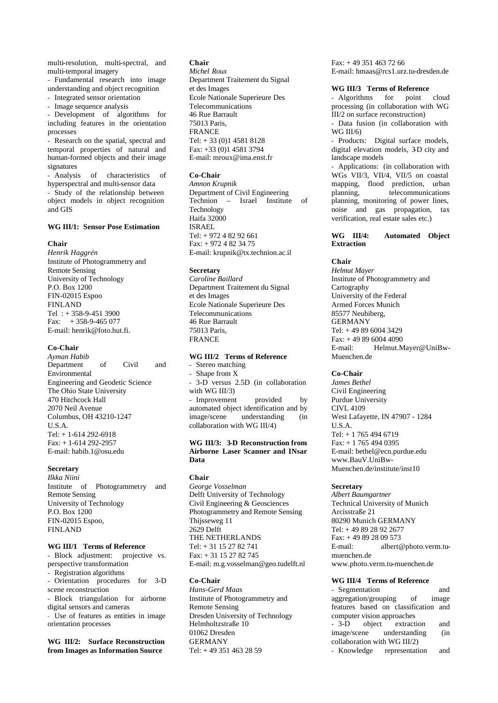multi-resolution, multi-spectral, and multi-temporal imagery

- Fundamental research into image understanding and object recognition

- Integrated sensor orientation - Image sequence analysis

- Development of algorithms for

including features in the orientation processes

- Research on the spatial, spectral and temporal properties of natural and human-formed objects and their image signatures

- Analysis of characteristics of hyperspectral and multi-sensor data - Study of the relationship between object models in object recognition and GIS

# **WG III/1: Sensor Pose Estimation**

### **Chair**

*Henrik Haggrén*  Institute of Photogrammetry and Remote Sensing University of Technology P.O. Box 1200 FIN-02015 Espoo FINLAND Tel : + 358-9-451 3900 Fax:  $+358-9-465077$ E-mail: henrik@foto.hut.fi.

### **Co-Chair**

*Ayman Habib* Department of Civil and Environmental Engineering and Geodetic Science The Ohio State University 470 Hitchcock Hall 2070 Neil Avenue Columbus, OH 43210-1247 U.S.A. Tel: + 1-614 292-6918 Fax: + 1-614 292-2957 E-mail: habib.1@osu.edu

# **Secretary**

*Ilkka Niini* Institute of Photogrammetry and Remote Sensing University of Technology P.O. Box 1200 FIN-02015 Espoo, FINLAND

# **WG III/1 Terms of Reference**

- Block adjustment: projective vs. perspective transformation

- Registration algorithms

- Orientation procedures for 3-D scene reconstruction

- Block triangulation for airborne digital sensors and cameras

- Use of features as entities in image orientation processes

### **WG III/2: Surface Reconstruction from Images as Information Source**

# **Chair**

*Michel Roux* Department Traitement du Signal et des Images Ecole Nationale Superieure Des **Telecommunications** 46 Rue Barrault 75013 Paris, FRANCE Tel: + 33 (0)1 4581 8128 Fax: +33 (0)1 4581 3794 E-mail: mroux@ima.enst.fr

### **Co-Chair**

*Amnon Krupnik* Department of Civil Engineering Technion – Israel Institute of **Technology** Haifa 32000 ISRAEL Tel: + 972 4 82 92 661 Fax: + 972 4 82 34 75 E-mail: krupnik@tx.technion.ac.il

### **Secretary**

*Caroline Baillard* Department Traitement du Signal et des Images Ecole Nationale Superieure Des Telecommunications 46 Rue Barrault 75013 Paris, FRANCE

# **WG III/2 Terms of Reference**

Stereo matching - Shape from X - 3-D versus 2.5D (in collaboration with WG III/3) - Improvement provided by automated object identification and by image/scene understanding (in collaboration with WG III/4)

### **WG III/3: 3-D Reconstruction from Airborne Laser Scanner and INsar Data**

**Chair**

*George Vosselman* Delft University of Technology Civil Engineering & Geosciences Photogrammetry and Remote Sensing Thijsseweg 11 2629 Delft THE NETHERLANDS Tel: + 31 15 27 82 741 Fax: + 31 15 27 82 745 E-mail: m.g.vosselman@geo.tudelft.nl

# **Co-Chair**

*Hans-Gerd Maas* Institute of Photogrammetry and Remote Sensing Dresden University of Technology Helmholtzstraße 10 01062 Dresden GERMANY Tel: + 49 351 463 28 59

Fax: + 49 351 463 72 66 E-mail: hmaas@rcs1.urz.tu-dresden.de

### **WG III/3 Terms of Reference**

- Algorithms for point cloud processing (in collaboration with WG III/2 on surface reconstruction)

- Data fusion (in collaboration with WG III/6)

- Products: Digital surface models, digital elevation models, 3-D city and landscape models

- Applications: (in collaboration with WGs VII/3, VII/4, VII/5 on coastal mapping, flood prediction, urban planning, telecommunications planning, monitoring of power lines, noise and gas propagation, tax verification, real estate sales etc.)

### **WG III/4: Automated Object Extraction**

### **Chair**

*Helmut Mayer* Institute of Photogrammetry and Cartography University of the Federal Armed Forces Munich 85577 Neubiberg, GERMANY Tel: + 49 89 6004 3429 Fax: + 49 89 6004 4090 E-mail: Helmut.Mayer@UniBw-Muenchen.de

### **Co-Chair**

*James Bethel*  Civil Engineering Purdue University CIVL 4109 West Lafayette, IN 47907 - 1284 U.S.A. Tel: + 1 765 494 6719 Fax: + 1 765 494 0395 E-mail: bethel@ecn.purdue.edu www.BauV.UniBw-Muenchen.de/institute/inst10

### **Secretary**

*Albert Baumgartner* Technical University of Munich Arcisstraße 21 80290 Munich GERMANY Tel: + 49 89 28 92 2677 Fax: + 49 89 28 09 573 E-mail: albert@photo.verm.tumuenchen.de www.photo.verm.tu-muenchen.de

### **WG III/4 Terms of Reference**

- Segmentation and<br>aggregation/grouping of image aggregation/grouping of features based on classification and computer vision approaches<br>
- 3-D object extract extraction and image/scene understanding (in collaboration with WG III/2) - Knowledge representation and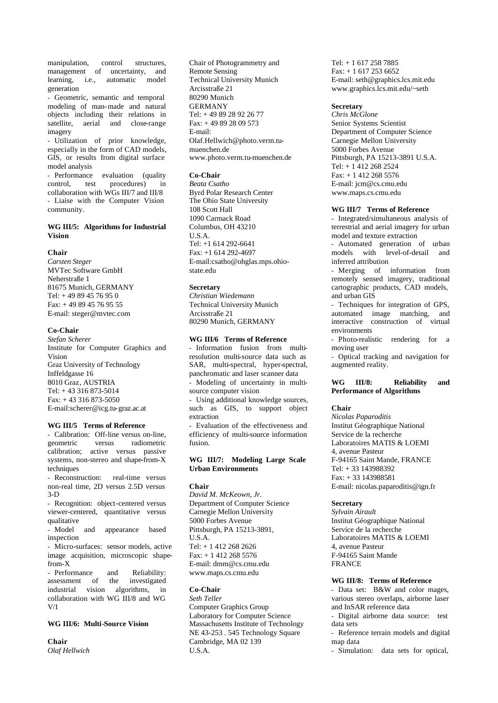manipulation, control structures, management of uncertainty, and learning, i.e., automatic model generation

- Geometric, semantic and temporal modeling of man-made and natural objects including their relations in satellite, aerial and close-range imagery

- Utilization of prior knowledge, especially in the form of CAD models, GIS, or results from digital surface model analysis

- Performance evaluation (quality control, test procedures) in collaboration with WGs III/7 and III/8 - Liaise with the Computer Vision community.

# **WG III/5: Algorithms for Industrial Vision**

### **Chair**

*Carsten Steger* MVTec Software GmbH Neherstraße 1 81675 Munich, GERMANY Tel: + 49 89 45 76 95 0 Fax: + 49 89 45 76 95 55 E-mail: steger@mvtec.com

### **Co-Chair**

*Stefan Scherer* Institute for Computer Graphics and Vision Graz University of Technology Inffeldgasse 16 8010 Graz, AUSTRIA Tel: + 43 316 873-5014 Fax: + 43 316 873-5050 E-mail:scherer@icg.tu-graz.ac.at

# **WG III/5 Terms of Reference**

- Calibration: Off-line versus on-line,<br>geometric versus radiometric versus radiometric calibration; active versus passive systems, non-stereo and shape-from-X techniques

- Reconstruction: real-time versus non-real time, 2D versus 2.5D versus 3-D

- Recognition: object-centered versus viewer-centered, quantitative versus qualitative

- Model and appearance based inspection

- Micro-surfaces: sensor models, active image acquisition, microscopic shapefrom-X

- Performance and Reliability:<br>assessment of the investigated assessment of industrial vision algorithms, in collaboration with WG III/8 and WG V/1

# **WG III/6: Multi-Source Vision**

**Chair** *Olaf Hellwich*

Chair of Photogrammetry and Remote Sensing Technical University Munich Arcisstraße 21 80290 Munich GERMANY Tel: + 49 89 28 92 26 77 Fax: + 49 89 28 09 573 E-mail: Olaf.Hellwich@photo.verm.tumuenchen.de www.photo.verm.tu-muenchen.de

### **Co-Chair**

*Beata Csatho* Byrd Polar Research Center The Ohio State University 108 Scott Hall 1090 Carmack Road Columbus, OH 43210 U.S.A. Tel: +1 614 292-6641 Fax: +1 614 292-4697 E-mail:csatho@ohglas.mps.ohiostate.edu

### **Secretary**

*Christian Wiedemann* Technical University Munich Arcisstraße 21 80290 Munich, GERMANY

#### **WG III/6 Terms of Reference**

- Information fusion from multiresolution multi-source data such as SAR, multi-spectral, hyper-spectral, panchromatic and laser scanner data - Modeling of uncertainty in multisource computer vision - Using additional knowledge sources, such as GIS, to support object

extraction - Evaluation of the effectiveness and

efficiency of multi-source information fusion.

### **WG III/7: Modeling Large Scale Urban Environments**

#### **Chair**

*David M. McKeown, Jr.* Department of Computer Science Carnegie Mellon University 5000 Forbes Avenue Pittsburgh, PA 15213-3891, U.S.A. Tel: + 1 412 268 2626 Fax: + 1 412 268 5576 E-mail: dmm@cs.cmu.edu www.maps.cs.cmu.edu

### **Co-Chair**

*Seth Teller*  Computer Graphics Group Laboratory for Computer Science Massachusetts Institute of Technology NE 43-253 . 545 Technology Square Cambridge, MA 02 139 U.S.A.

Tel: + 1 617 258 7885 Fax: + 1 617 253 6652 E-mail: seth@graphics.lcs.mit.edu www.graphics.lcs.mit.edu/~seth

# **Secretary**

*Chris McGlone* Senior Systems Scientist Department of Computer Science Carnegie Mellon University 5000 Forbes Avenue Pittsburgh, PA 15213-3891 U.S.A. Tel: + 1 412 268 2524 Fax: + 1 412 268 5576 E-mail: jcm@cs.cmu.edu www.maps.cs.cmu.edu

### **WG III/7 Terms of Reference**

- Integrated/simultaneous analysis of terrestrial and aerial imagery for urban model and texture extraction

- Automated generation of urban models with level-of-detail and inferred attribution

- Merging of information from remotely sensed imagery, traditional cartographic products, CAD models, and urban GIS

- Techniques for integration of GPS, automated image matching, and interactive construction of virtual environments

- Photo-realistic rendering for a moving user

- Optical tracking and navigation for augmented reality.

### **WG III/8: Reliability and Performance of Algorithms**

### **Chair**

*Nicolas Paparoditis* Institut Géographique National Service de la recherche Laboratoires MATIS & LOEMI 4, avenue Pasteur F-94165 Saint Mande, FRANCE Tel: + 33 143988392 Fax: + 33 143988581 E-mail: nicolas.paparoditis@ign.fr

### **Secretary**

*Sylvain Airault* Institut Géographique National Service de la recherche Laboratoires MATIS & LOEMI 4, avenue Pasteur F-94165 Saint Mande FRANCE

# **WG III/8: Terms of Reference**

- Data set: B&W and color mages, various stereo overlaps, airborne laser and InSAR reference data

- Digital airborne data source: test data sets

- Reference terrain models and digital map data

- Simulation: data sets for optical,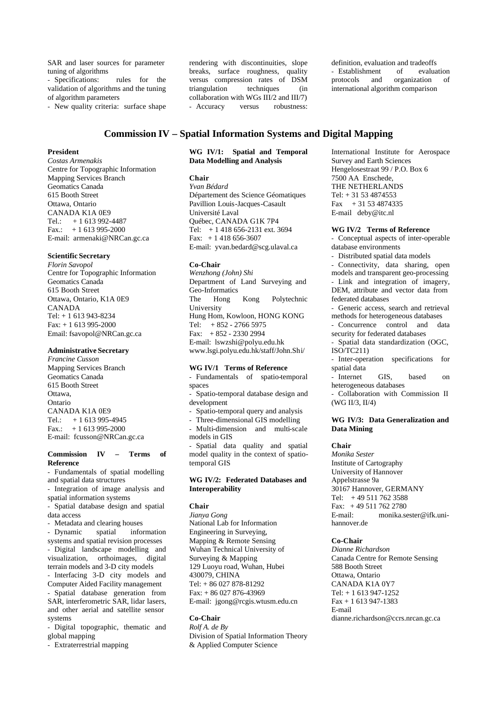SAR and laser sources for parameter tuning of algorithms

- Specifications: rules for the validation of algorithms and the tuning of algorithm parameters

- New quality criteria: surface shape

rendering with discontinuities, slope breaks, surface roughness, quality versus compression rates of DSM triangulation techniques (in collaboration with WGs III/2 and III/7) - Accuracy versus robustness:

definition, evaluation and tradeoffs<br>Fistablishment of evaluation - Establishment of protocols and organization of international algorithm comparison

# **Commission IV – Spatial Information Systems and Digital Mapping**

# **President**

*Costas Armenakis* Centre for Topographic Information Mapping Services Branch Geomatics Canada 615 Booth Street Ottawa, Ontario CANADA K1A 0E9 Tel.: + 1 613 992-4487 Fax.:  $+1613995-2000$ E-mail: armenaki@NRCan.gc.ca

### **Scientific Secretary**

*Florin Savopol* Centre for Topographic Information Geomatics Canada 615 Booth Street Ottawa, Ontario, K1A 0E9 CANADA Tel: + 1 613 943-8234 Fax: + 1 613 995-2000 Email: fsavopol@NRCan.gc.ca

# **Administrative Secretary**

*Francine Cusson* Mapping Services Branch Geomatics Canada 615 Booth Street Ottawa, Ontario CANADA K1A 0E9 Tel.:  $+1613995-4945$ Fax.:  $+1613995-2000$ E-mail: fcusson@NRCan.gc.ca

### **Commission IV – Terms of Reference**

- Fundamentals of spatial modelling and spatial data structures

- Integration of image analysis and spatial information systems

- Spatial database design and spatial data access

- Metadata and clearing houses

- Dynamic spatial information systems and spatial revision processes - Digital landscape modelling and visualization, orthoimages, digital terrain models and 3-D city models

- Interfacing 3-D city models and Computer Aided Facility management - Spatial database generation from

SAR, interferometric SAR, lidar lasers, and other aerial and satellite sensor systems

- Digital topographic, thematic and global mapping

- Extraterrestrial mapping

### **WG IV/1: Spatial and Temporal Data Modelling and Analysis**

# **Chair**

*Yvan Bédard* Département des Science Géomatiques Pavillion Louis-Jacques-Casault Université Laval Québec, CANADA G1K 7P4 Tel: + 1 418 656-2131 ext. 3694 Fax: + 1 418 656-3607 E-mail: yvan.bedard@scg.ulaval.ca

### **Co-Chair**

*Wenzhong (John) Shi* Department of Land Surveying and Geo-Informatics The Hong Kong Polytechnic University Hung Hom, Kowloon, HONG KONG Tel: + 852 - 2766 5975 Fax: + 852 - 2330 2994 E-mail: lswzshi@polyu.edu.hk www.lsgi.polyu.edu.hk/staff/John.Shi/

### **WG IV/1 Terms of Reference**

- Fundamentals of spatio-temporal spaces

- Spatio-temporal database design and development

Spatio-temporal query and analysis

- Three-dimensional GIS modelling

- Multi-dimension and multi-scale models in GIS

Spatial data quality and spatial model quality in the context of spatiotemporal GIS

### **WG IV/2: Federated Databases and Interoperability**

### **Chair**

*Jianya Gong* National Lab for Information Engineering in Surveying, Mapping & Remote Sensing Wuhan Technical University of Surveying & Mapping 129 Luoyu road, Wuhan, Hubei 430079, CHINA Tel: + 86 027 878-81292 Fax: + 86 027 876-43969 E-mail: jgong@rcgis.wtusm.edu.cn

# **Co-Chair**

*Rolf A. de By* Division of Spatial Information Theory & Applied Computer Science

International Institute for Aerospace Survey and Earth Sciences Hengelosestraat 99 / P.O. Box 6 7500 AA Enschede, THE NETHERLANDS Tel: + 31 53 4874553 Fax  $+31534874335$ E-mail deby@itc.nl

### **WG IV/2 Terms of Reference**

- Conceptual aspects of inter-operable database environments

- Distributed spatial data models

Connectivity, data sharing, open models and transparent geo-processing - Link and integration of imagery,

DEM, attribute and vector data from federated databases - Generic access, search and retrieval

methods for heterogeneous databases

- Concurrence control and data security for federated databases

Spatial data standardization (OGC, ISO/TC211)

- Inter-operation specifications for spatial data

- Internet GIS, based on heterogeneous databases

- Collaboration with Commission II (WG II/3, II/4)

# **WG IV/3: Data Generalization and Data Mining**

# **Chair**

*Monika Sester* Institute of Cartography University of Hannover Appelstrasse 9a 30167 Hannover, GERMANY Tel: + 49 511 762 3588 Fax: + 49 511 762 2780 E-mail: monika.sester@ifk.unihannover de

### **Co-Chair**

*Dianne Richardson* Canada Centre for Remote Sensing 588 Booth Street Ottawa, Ontario CANADA K1A 0Y7 Tel: + 1 613 947-1252 Fax + 1 613 947-1383 E-mail dianne.richardson@ccrs.nrcan.gc.ca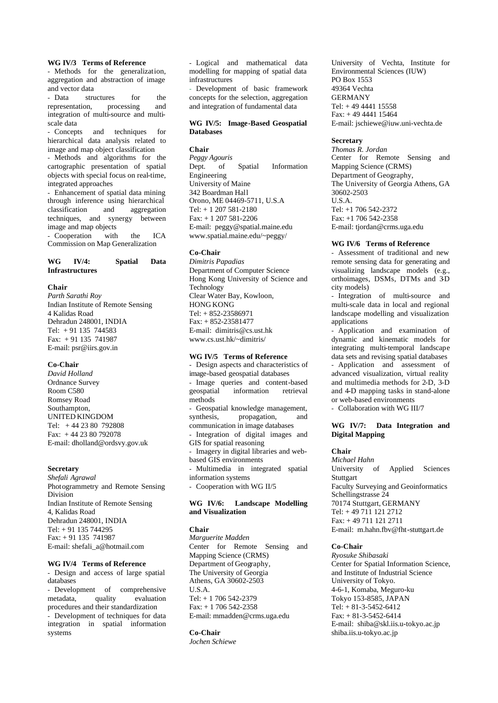### **WG IV/3 Terms of Reference**

- Methods for the generalization, aggregation and abstraction of image and vector data

- Data structures for the representation, processing and representation, processing and integration of multi-source and multiscale data

- Concepts and techniques for hierarchical data analysis related to image and map object classification

- Methods and algorithms for the cartographic presentation of spatial objects with special focus on real-time, integrated approaches

- Enhancement of spatial data mining through inference using hierarchical classification and aggregation techniques, and synergy between image and map objects

- Cooperation with the ICA Commission on Map Generalization

# **WG IV/4: Spatial Data Infrastructures**

### **Chair**

*Parth Sarathi Roy* Indian Institute of Remote Sensing 4 Kalidas Road Dehradun 248001, INDIA Tel: + 91 135 744583 Fax: + 91 135 741987 E-mail: psr@iirs.gov.in

### **Co-Chair**

*David Holland* Ordnance Survey Room C580 Romsey Road Southampton, UNITED KINGDOM Tel: + 44 23 80 792808 Fax: + 44 23 80 792078 E-mail: dholland@ordsvy.gov.uk

# **Secretary**

*Shefali Agrawal* Photogrammetry and Remote Sensing Division Indian Institute of Remote Sensing 4, Kalidas Road Dehradun 248001, INDIA Tel: + 91 135 744295 Fax: + 91 135 741987 E-mail: shefali\_a@hotmail.com

# **WG IV/4 Terms of Reference**

- Design and access of large spatial databases

- Development of comprehensive<br>metadata, quality evaluation metadata quality evaluation procedures and their standardization - Development of techniques for data integration in spatial information systems

- Logical and mathematical data modelling for mapping of spatial data infrastructures

Development of basic framework concepts for the selection, aggregation and integration of fundamental data

# **WG IV/5: Image-Based Geospatial Databases**

### **Chair**

*Peggy Agouris* Dept. of Spatial Information Engineering University of Maine 342 Boardman Hall Orono, ME 04469-5711, U.S.A Tel: + 1 207 581-2180 Fax: + 1 207 581-2206 E-mail: peggy@spatial.maine.edu www.spatial.maine.edu/~peggy/

# **Co-Chair**

*Dimitris Papadias* Department of Computer Science Hong Kong University of Science and **Technology** Clear Water Bay, Kowloon, HONG KONG Tel: + 852-23586971 Fax: + 852-23581477 E-mail: dimitris@cs.ust.hk www.cs.ust.hk/~dimitris/

### **WG IV/5 Terms of Reference**

- Design aspects and characteristics of image-based geospatial databases - Image queries and content-based geospatial information retrieval methods - Geospatial knowledge management, synthesis, propagation, and communication in image databases - Integration of digital images and GIS for spatial reasoning - Imagery in digital libraries and webbased GIS environments - Multimedia in integrated spatial information systems Cooperation with WG II/5

## **WG IV/6: Landscape Modelling and Visualization**

# **Chair**

*Marguerite Madden* Center for Remote Sensing and Mapping Science (CRMS) Department of Geography, The University of Georgia Athens, GA 30602-2503 U.S.A. Tel: + 1 706 542-2379 Fax: + 1 706 542-2358 E-mail: mmadden@crms.uga.edu

# **Co-Chair**

*Jochen Schiewe*

University of Vechta, Institute for Environmental Sciences (IUW) PO Box 1553 49364 Vechta GERMANY Tel: + 49 4441 15558 Fax: + 49 4441 15464 E-mail: jschiewe@iuw.uni-vechta.de

# **Secretary**

*Thomas R. Jordan* Center for Remote Sensing and Mapping Science (CRMS) Department of Geography, The University of Georgia Athens, GA 30602-2503 U.S.A.  $Tel· + 1$  706 542-2372 Fax: +1 706 542-2358 E-mail: tjordan@crms.uga.edu

### **WG IV/6 Terms of Reference**

- Assessment of traditional and new remote sensing data for generating and visualizing landscape models (e.g., orthoimages, DSMs, DTMs and 3D city models)

- Integration of multi-source and multi-scale data in local and regional landscape modelling and visualization applications

- Application and examination of dynamic and kinematic models for integrating multi-temporal landscape data sets and revising spatial databases

- Application and assessment of advanced visualization, virtual reality and multimedia methods for 2-D, 3-D and 4-D mapping tasks in stand-alone or web-based environments

- Collaboration with WG III/7

### **WG IV/7: Data Integration and Digital Mapping**

# **Chair**

*Michael Hahn* University of Applied Sciences **Stuttgart** Faculty Surveying and Geoinformatics Schellingstrasse 24 70174 Stuttgart, GERMANY Tel: + 49 711 121 2712 Fax: + 49 711 121 2711 E-mail: m.hahn.fbv@fht-stuttgart.de

# **Co-Chair**

*Ryosuke Shibasaki* Center for Spatial Information Science, and Institute of Industrial Science University of Tokyo. 4-6-1, Komaba, Meguro-ku Tokyo 153-8585, JAPAN Tel: + 81-3-5452-6412 Fax: + 81-3-5452-6414 E-mail: shiba@skl.iis.u-tokyo.ac.jp shiba.iis.u-tokyo.ac.jp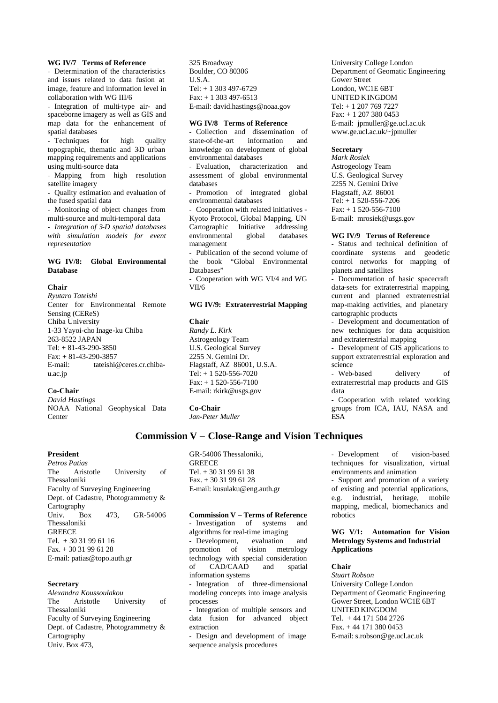### **WG IV/7 Terms of Reference**

- Determination of the characteristics and issues related to data fusion at image, feature and information level in collaboration with WG III/6

- Integration of multi-type air- and spaceborne imagery as well as GIS and map data for the enhancement of spatial databases

- Techniques for high quality topographic, thematic and 3D urban mapping requirements and applications using multi-source data

- Mapping from high resolution satellite imagery

- Quality estimation and evaluation of the fused spatial data

- Monitoring of object changes from multi-source and multi-temporal data - *Integration of 3-D spatial databases* 

*with simulation models for event representation*

# **WG IV/8: Global Environmental Database**

### **Chair**

*Ryutaro Tateishi* Center for Environmental Remote Sensing (CEReS) Chiba University 1-33 Yayoi-cho Inage-ku Chiba 263-8522 JAPAN Tel: + 81-43-290-3850 Fax: + 81-43-290-3857 E-mail: tateishi@ceres.cr.chibau.ac.jp

# **Co-Chair**

*David Hastings* NOAA National Geophysical Data Center

**President**

*Petros Patias* The Aristotle University of Thessaloniki Faculty of Surveying Engineering Dept. of Cadastre, Photogrammetry & **Cartography** Univ. Box 473, GR-54006 Thessaloniki **GREECE** Tel. + 30 31 99 61 16 Fax. + 30 31 99 61 28 E-mail: patias@topo.auth.gr

### **Secretary**

*Alexandra Koussoulakou* The Aristotle University of Thessaloniki Faculty of Surveying Engineering Dept. of Cadastre, Photogrammetry & **Cartography** Univ. Box 473,

325 Broadway Boulder, CO 80306 U.S.A. Tel: + 1 303 497-6729 Fax: + 1 303 497-6513 E-mail: david.hastings@noaa.gov

### **WG IV/8 Terms of Reference**

- Collection and dissemination of state-of-the-art information and knowledge on development of global environmental databases

- Evaluation, characterization and assessment of global environmental databases

Promotion of integrated global environmental databases

- Cooperation with related initiatives - Kyoto Protocol, Global Mapping, UN Cartographic Initiative addressing environmental global databases management

Publication of the second volume of the book "Global Environmental Databases"

- Cooperation with WG VI/4 and WG VII/6

# **WG IV/9: Extraterrestrial Mapping**

#### **Chair**

*Randy L. Kirk* Astrogeology Team U.S. Geological Survey 2255 N. Gemini Dr. Flagstaff, AZ 86001, U.S.A. Tel: + 1 520-556-7020  $Fax: + 1520-556-7100$ E-mail: rkirk@usgs.gov

**Co-Chair**

*Jan-Peter Muller*

# **Commission V – Close-Range and Vision Techniques**

GR-54006 Thessaloniki, **GREECE** Tel. + 30 31 99 61 38 Fax. + 30 31 99 61 28 E-mail: kusulaku@eng.auth.gr

### **Commission V – Terms of Reference**

Investigation of systems and algorithms for real-time imaging

- Development, evaluation and promotion of vision metrology technology with special consideration of CAD/CAAD and spatial information systems

- Integration of three-dimensional modeling concepts into image analysis processes

Integration of multiple sensors and data fusion for advanced object extraction

- Design and development of image sequence analysis procedures

University College London Department of Geomatic Engineering Gower Street London, WC1E 6BT UNITED KINGDOM Tel: + 1 207 769 7227 Fax: + 1 207 380 0453 E-mail: jpmuller@ge.ucl.ac.uk www.ge.ucl.ac.uk/~jpmuller

# **Secretary**

*Mark Rosiek* Astrogeology Team U.S. Geological Survey 2255 N. Gemini Drive Flagstaff, AZ 86001 Tel: + 1 520-556-7206 Fax: + 1 520-556-7100 E-mail: mrosiek@usgs.gov

### **WG IV/9 Terms of Reference**

- Status and technical definition of coordinate systems and geodetic control networks for mapping of planets and satellites

- Documentation of basic spacecraft data-sets for extraterrestrial mapping, current and planned extraterrestrial map-making activities, and planetary cartographic products

- Development and documentation of new techniques for data acquisition and extraterrestrial mapping

- Development of GIS applications to support extraterrestrial exploration and science

- Web-based delivery of extraterrestrial map products and GIS data

- Cooperation with related working groups from ICA, IAU, NASA and ESA

- Development of vision-based techniques for visualization, virtual environments and animation

- Support and promotion of a variety of existing and potential applications, e.g. industrial, heritage, mobile mapping, medical, biomechanics and robotics

# **WG V/1: Automation for Vision Metrology Systems and Industrial Applications**

# **Chair**

*Stuart Robson*  University College London Department of Geomatic Engineering Gower Street, London WC1E 6BT UNITED KINGDOM Tel. + 44 171 504 2726 Fax. + 44 171 380 0453 E-mail: s.robson@ge.ucl.ac.uk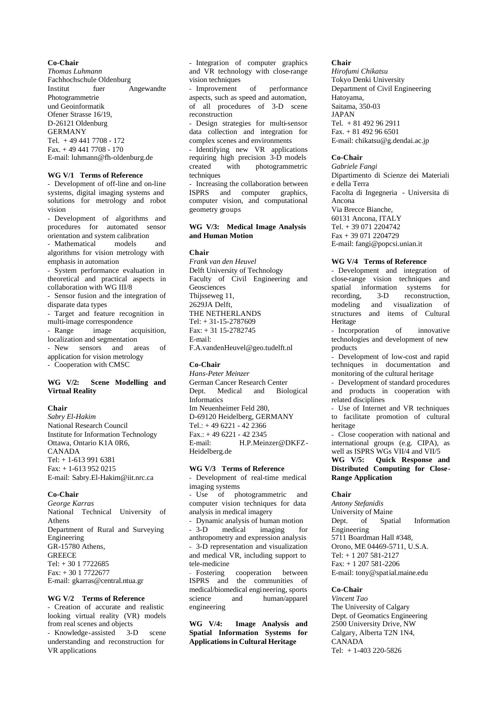### **Co-Chair**

*Thomas Luhmann* Fachhochschule Oldenburg Institut fuer Angewandte Photogrammetrie und Geoinformatik Ofener Strasse 16/19, D-26121 Oldenburg GERMANY Tel. + 49 441 7708 - 172 Fax. + 49 441 7708 - 170 E-mail: luhmann@fh-oldenburg.de

### **WG V/1 Terms of Reference**

- Development of off-line and on-line systems, digital imaging systems and solutions for metrology and robot vision

- Development of algorithms and procedures for automated sensor orientation and system calibration<br>- Mathematical models

- Mathematical models and algorithms for vision metrology with emphasis in automation

- System performance evaluation in theoretical and practical aspects in collaboration with WG III/8

- Sensor fusion and the integration of disparate data types

- Target and feature recognition in multi-image correspondence

- Range image acquisition, localization and segmentation

- New sensors and areas of application for vision metrology - Cooperation with CMSC

# **WG V/2: Scene Modelling and Virtual Reality**

# **Chair**

*Sabry El-Hakim* National Research Council Institute for Information Technology Ottawa, Ontario K1A 0R6, CANADA Tel: + 1-613 991 6381 Fax: + 1-613 952 0215 E-mail: Sabry.El-Hakim@iit.nrc.ca

### **Co-Chair**

*George Karras* National Technical University of Athens Department of Rural and Surveying Engineering GR-15780 Athens, **GREECE** Tel: + 30 1 7722685 Fax: + 30 1 7722677 E-mail: gkarras@central.ntua.gr

# **WG V/2 Terms of Reference**

- Creation of accurate and realistic looking virtual reality (VR) models from real scenes and objects - Knowledge-assisted 3-D scene

understanding and reconstruction for VR applications

- Integration of computer graphics and VR technology with close-range vision techniques

- Improvement of performance aspects, such as speed and automation, of all procedures of 3-D scene reconstruction

- Design strategies for multi-sensor data collection and integration for complex scenes and environments

Identifying new VR applications requiring high precision 3-D models created with photogrammetric techniques

- Increasing the collaboration between ISPRS and computer graphics, computer vision, and computational geometry groups

# **WG V/3: Medical Image Analysis and Human Motion**

### **Chair**

*Frank van den Heuvel* Delft University of Technology Faculty of Civil Engineering and Geosciences Thijsseweg 11, 2629JA Delft, THE NETHERLANDS Tel: + 31-15-2787609 Fax: + 31 15-2782745 E-mail: F.A.vandenHeuvel@geo.tudelft.nl

### **Co-Chair**

*Hans-Peter Meinzer* German Cancer Research Center Dept. Medical and Biological Informatics Im Neuenheimer Feld 280, D-69120 Heidelberg, GERMANY Tel.: + 49 6221 - 42 2366 Fax.: + 49 6221 - 42 2345 E-mail: H.P.Meinzer@DKFZ-Heidelberg.de

### **WG V/3 Terms of Reference**

Development of real-time medical imaging systems

- Use of photogrammetric and computer vision techniques for data analysis in medical imagery

- Dynamic analysis of human motion 3-D medical imaging for anthropometry and expression analysis - 3-D representation and visualization and medical VR, including support to tele-medicine

- Fostering cooperation between ISPRS and the communities of medical/biomedical engineering, sports science and human/apparel engineering

**WG V/4: Image Analysis and Spatial Information Systems for Applications in Cultural Heritage**

### **Chair**

*Hirofumi Chikatsu* Tokyo Denki University Department of Civil Engineering Hatoyama, Saitama, 350-03 JAPAN Tel. + 81 492 96 2911 Fax. + 81 492 96 6501 E-mail: chikatsu@g.dendai.ac.jp

### **Co-Chair**

*Gabriele Fangi* Dipartimento di Scienze dei Materiali e della Terra Facolta di Ingegneria - Universita di Ancona Via Brecce Bianche, 60131 Ancona, ITALY Tel. + 39 071 2204742 Fax + 39 071 2204729 E-mail: fangi@popcsi.unian.it

### **WG V/4 Terms of Reference**

- Development and integration of close-range vision techniques and spatial information systems for<br>recording, 3-D reconstruction, reconstruction. modeling and visualization of structures and items of Cultural Heritage

- Incorporation of innovative technologies and development of new products

Development of low-cost and rapid techniques in documentation and monitoring of the cultural heritage

- Development of standard procedures and products in cooperation with related disciplines

- Use of Internet and VR techniques to facilitate promotion of cultural heritage

Close cooperation with national and international groups (e.g. CIPA), as well as ISPRS WGs VII/4 and VII/5

**WG V/5: Quick Response and Distributed Computing for Close-Range Application**

### **Chair**

*Antony Stefanidis* University of Maine Dept. of Spatial Information Engineering 5711 Boardman Hall #348, Orono, ME 04469-5711, U.S.A. Tel: + 1 207 581-2127 Fax: + 1 207 581-2206 E-mail: tony@spatial.maine.edu

# **Co-Chair**

*Vincent Tao* The University of Calgary Dept. of Geomatics Engineering 2500 University Drive, NW Calgary, Alberta T2N 1N4, CANADA Tel: + 1-403 220-5826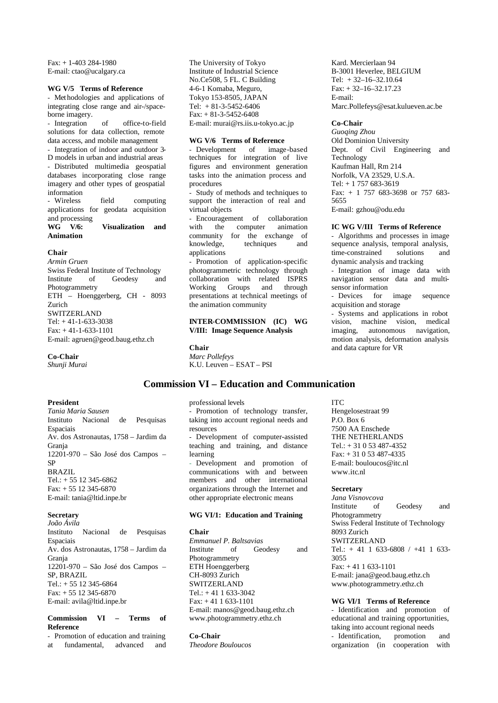Fax: + 1-403 284-1980 E-mail: ctao@ucalgary.ca

### **WG V/5 Terms of Reference**

- Met hodologies and applications of integrating close range and air-/spaceborne imagery.

- Integration of office-to-field solutions for data collection, remote data access, and mobile management - Integration of indoor and outdoor 3- D models in urban and industrial areas - Distributed multimedia geospatial

databases incorporating close range imagery and other types of geospatial information - Wireless field computing

applications for geodata acquisition and processing **WG V/6: Visualization and**

# **Animation**

# **Chair**

*Armin Gruen* Swiss Federal Institute of Technology Institute of Geodesy and Photogrammetry ETH – Hoenggerberg, CH - 8093 Zurich SWITZERLAND Tel: + 41-1-633-3038 Fax: + 41-1-633-1101 E-mail: agruen@geod.baug.ethz.ch

Instituto Nacional de Pesquisas

Av. dos Astronautas, 1758 – Jardim da

12201-970 – São José dos Campos –

Instituto Nacional de Pesquisas

Av. dos Astronautas, 1758 – Jardim da

12201-970 – São José dos Campos –

**Commission VI – Terms of**

- Promotion of education and training at fundamental, advanced and

# **Co-Chair**

**President**

Espaciais

**Secretary** *João Ávila*

Espaciais

SP, BRAZIL

**Reference**

Tel.: + 55 12 345-6864 Fax: + 55 12 345-6870 E-mail: avila@ltid.inpe.br

Granja

Granja

SP BRAZIL

*Tania Maria Sausen*

Tel.: + 55 12 345-6862 Fax: + 55 12 345-6870 E-mail: tania@ltid.inpe.br

*Shunji Murai*

The University of Tokyo Institute of Industrial Science No.Ce508, 5 FL. C Building 4-6-1 Komaba, Meguro, Tokyo 153-8505, JAPAN Tel:  $+ 81 - 3 - 5452 - 6406$ Fax: + 81-3-5452-6408 E-mail: murai@rs.iis.u-tokyo.ac.jp

### **WG V/6 Terms of Reference**

Development of image-based techniques for integration of live figures and environment generation tasks into the animation process and procedures

Study of methods and techniques to support the interaction of real and virtual objects

- Encouragement of collaboration with the computer animation community for the exchange of<br>knowledge, techniques and  $k$ nowledge, applications

Promotion of application-specific photogrammetric technology through collaboration with related ISPRS<br>Working Groups and through Working Groups and through presentations at technical meetings of the animation community

# **INTER-COMMISSION (IC) WG V/III: Image Sequence Analysis**

**Chair** *Marc Pollefeys* K.U. Leuven – ESAT – PSI

# **Commission VI – Education and Communication**

professional levels Promotion of technology transfer, taking into account regional needs and resources Development of computer-assisted teaching and training, and distance learning - Development and promotion of communications with and between members and other international organizations through the Internet and other appropriate electronic means

# **WG VI/1: Education and Training**

**Chair** *Emmanuel P. Baltsavias* Institute of Geodesy and Photogrammetry ETH Hoenggerberg CH-8093 Zurich **SWITZERLAND** Tel.: + 41 1 633-3042 Fax: + 41 1 633-1101 E-mail: manos@geod.baug.ethz.ch www.photogrammetry.ethz.ch

# **Co-Chair**

*Theodore Bouloucos*

Kard. Mercierlaan 94 B-3001 Heverlee, BELGIUM Tel: + 32–16–32.10.64  $Fax: +32-16-32.17.23$ E-mail: Marc.Pollefeys@esat.kulueven.ac.be

### **Co-Chair**

*Guoqing Zhou* Old Dominion University Dept. of Civil Engineering and Technology Kaufman Hall, Rm 214 Norfolk, VA 23529, U.S.A. Tel: + 1 757 683-3619 Fax: + 1 757 683-3698 or 757 683- 5655 E-mail: gzhou@odu.edu

### **IC WG V/III Terms of Reference**

- Algorithms and processes in image sequence analysis, temporal analysis, time-constrained solutions and dynamic analysis and tracking

- Integration of image data with navigation sensor data and multisensor information<br>- Devices for

for image sequence acquisition and storage

- Systems and applications in robot vision, machine vision, medical imaging, autonomous navigation, motion analysis, deformation analysis and data capture for VR

ITC Hengelosestraat 99 P.O. Box 6 7500 AA Enschede THE NETHERLANDS Tel.: + 31 0 53 487-4352 Fax: + 31 0 53 487-4335 E-mail: bouloucos@itc.nl www.itc.nl

### **Secretary**

*Jana Visnovcova* Institute of Geodesy and Photogrammetry Swiss Federal Institute of Technology 8093 Zurich SWITZERLAND Tel.:  $+41$  1 633-6808 / +41 1 633-3055 Fax: + 41 1 633-1101 E-mail: jana@geod.baug.ethz.ch www.photogrammetry.ethz.ch

### **WG VI/1 Terms of Reference**

- Identification and promotion of educational and training opportunities, taking into account regional needs<br>- Identification, promotion - Identification, promotion and organization (in cooperation with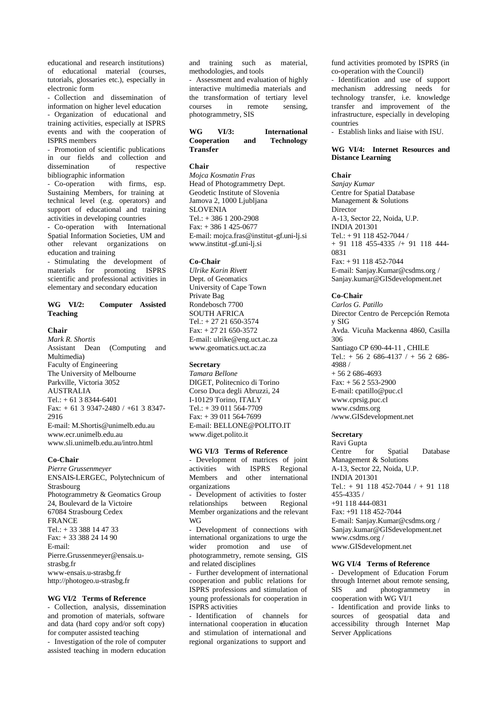educational and research institutions) of educational material (courses, tutorials, glossaries etc.), especially in electronic form

- Collection and dissemination of information on higher level education - Organization of educational and training activities, especially at ISPRS events and with the cooperation of ISPRS members

- Promotion of scientific publications in our fields and collection and dissemination of respective bibliographic information

- Co-operation with firms, esp. Sustaining Members, for training at technical level (e.g. operators) and support of educational and training activities in developing countries

- Co-operation with International Spatial Information Societies, UM and other relevant organizations on education and training

- Stimulating the development of materials for promoting ISPRS scientific and professional activities in elementary and secondary education

# **WG VI/2: Computer Assisted Teaching**

### **Chair**

*Mark R. Shortis* Assistant Dean (Computing and Multimedia) Faculty of Engineering The University of Melbourne Parkville, Victoria 3052 AUSTRALIA Tel.: + 61 3 8344-6401 Fax:  $+ 61$  3 9347-2480 /  $+ 61$  3 8347-2916 E-mail: M.Shortis@unimelb.edu.au www.ecr.unimelb.edu.au www.sli.unimelb.edu.au/intro.html

# **Co-Chair**

*Pierre Grussenmeyer* ENSAIS-LERGEC, Polytechnicum of Strasbourg Photogrammetry & Geomatics Group 24, Boulevard de la Victoire 67084 Strasbourg Cedex FRANCE Tel.: + 33 388 14 47 33 Fax: + 33 388 24 14 90 E-mail: Pierre.Grussenmeyer@ensais.ustrasbg.fr www-ensais.u-strasbg.fr http://photogeo.u-strasbg.fr

# **WG VI/2 Terms of Reference**

- Collection, analysis, dissemination and promotion of materials, software and data (hard copy and/or soft copy) for computer assisted teaching

- Investigation of the role of computer assisted teaching in modern education

and training such as material, methodologies, and tools

Assessment and evaluation of highly interactive multimedia materials and the transformation of tertiary level courses in remote sensing, photogrammetry, SIS

# WG VI/3: International<br>
Cooperation and Technology **Cooperation and Transfer**

### **Chair**

*Mojca Kosmatin Fras* Head of Photogrammetry Dept. Geodetic Institute of Slovenia Jamova 2, 1000 Ljubljana SI OVENIA Tel.: + 386 1 200-2908 Fax: + 386 1 425-0677 E-mail: mojca.fras@institut-gf.uni-lj.si www.institut-gf.uni-lj.si

### **Co-Chair**

*Ulrike Karin Rivett* Dept. of Geomatics University of Cape Town Private Bag Rondebosch 7700 SOUTH AFRICA Tel.: + 27 21 650-3574 Fax: + 27 21 650-3572 E-mail: ulrike@eng.uct.ac.za www.geomatics.uct.ac.za

### **Secretary**

*Tamara Bellone* DIGET, Politecnico di Torino Corso Duca degli Abruzzi, 24 I-10129 Torino, ITALY Tel.: + 39 011 564-7709 Fax: + 39 011 564-7699 E-mail: BELLONE@POLITO.IT www.diget.polito.it

### **WG VI/3 Terms of Reference**

- Development of matrices of joint activities with ISPRS Regional Members and other international organizations

- Development of activities to foster relationships between Regional Member organizations and the relevant WG

Development of connections with international organizations to urge the wider promotion and use of photogrammetry, remote sensing, GIS and related disciplines

- Further development of international cooperation and public relations for ISPRS professions and stimulation of young professionals for cooperation in ISPRS activities

Identification of channels for international cooperation in education and stimulation of international and regional organizations to support and

fund activities promoted by ISPRS (in co-operation with the Council)

- Identification and use of support mechanism addressing needs for technology transfer, i.e. knowledge transfer and improvement of the infrastructure, especially in developing countries

- Establish links and liaise with ISU.

### **WG VI/4: Internet Resources and Distance Learning**

# **Chair**

*Sanjay Kumar* Centre for Spatial Database Management & Solutions Director A-13, Sector 22, Noida, U.P. INDIA 201301 Tel.: + 91 118 452-7044 / + 91 118 455-4335 /+ 91 118 444- 0831 Fax: + 91 118 452-7044 E-mail: Sanjay.Kumar@csdms.org / Sanjay.kumar@GISdevelopment.net

### **Co-Chair**

*Carlos G. Patillo* Director Centro de Percepción Remota y SIG Avda. Vicuña Mackenna 4860, Casilla 306 Santiago CP 690-44-11 , CHILE Tel.: + 56 2 686-4137 / + 56 2 686- 4988 / + 56 2 686-4693  $Fax: + 56253-2900$ E-mail: cpatillo@puc.cl www.cprsig.puc.cl www.csdms.org /www.GISdevelopment.net

# **Secretary**

Ravi Gupta Centre for Spatial Database Management & Solutions A-13, Sector 22, Noida, U.P. INDIA 201301 Tel.: + 91 118 452-7044 / + 91 118 455-4335 / +91 118 444-0831 Fax: +91 118 452-7044 E-mail: Sanjay.Kumar@csdms.org / Sanjay.kumar@GISdevelopment.net www.csdms.org / www.GISdevelopment.net

### **WG VI/4 Terms of Reference**

- Development of Education Forum through Internet about remote sensing, SIS and photogrammetry in cooperation with WG VI/1

- Identification and provide links to sources of geospatial data and accessibility through Internet Map Server Applications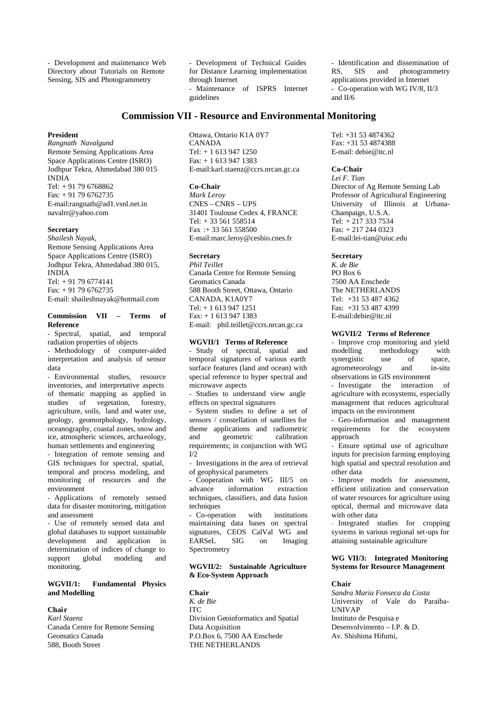- Development and maintenance Web Directory about Tutorials on Remote Sensing, SIS and Photogrammetry

- Development of Technical Guides for Distance Learning implementation through Internet Maintenance of ISPRS Internet guidelines

# **Commission VII - Resource and Environmental Monitoring**

### **President**

*Rangnath Navalgund* Remote Sensing Applications Area Space Applications Centre (ISRO) Jodhpur Tekra, Ahmedabad 380 015 INDIA Tel: + 91 79 6768862 Fax: + 91 79 6762735 E-mail:rangnath@ad1.vsnl.net.in navalrr@yahoo.com

### **Secretary**

*Shailesh Nayak,* Remote Sensing Applications Area Space Applications Centre (ISRO) Jodhpur Tekra, Ahmedabad 380 015, INDIA Tel: + 91 79 6774141 Fax: + 91 79 6762735 E-mail: shaileshnayak@hotmail.com

### **Commission VII – Terms of Reference**

- Spectral, spatial, and temporal radiation properties of objects

- Methodology of computer-aided interpretation and analysis of sensor data

- Environmental studies, resource inventories, and interpretative aspects of thematic mapping as applied in studies of vegetation, forestry, agriculture, soils, land and water use, geology, geomorphology, hydrology, oceanography, coastal zones, snow and ice, atmospheric sciences, archaeology, human settlements and engineering

- Integration of remote sensing and GIS techniques for spectral, spatial, temporal and process modeling, and monitoring of resources and the environment

- Applications of remotely sensed data for disaster monitoring, mitigation and assessment

- Use of remotely sensed data and global databases to support sustainable development and application in determination of indices of change to<br>support global modeling and support global modeling and monitoring.

# **WGVII/1: Fundamental Physics and Modelling**

# **Chair**

*Karl Staenz* Canada Centre for Remote Sensing Geomatics Canada 588, Booth Street

Ottawa, Ontario K1A 0Y7 CANADA Tel: + 1 613 947 1250 Fax: + 1 613 947 1383 E-mail:karl.staenz@ccrs.nrcan.gc.ca

### **Co-Chair**

*Mark Leroy* CNES – CNRS – UPS 31401 Toulouse Cedex 4, FRANCE Tel: + 33 561 558514 Fax :+ 33 561 558500 E-mail:marc.leroy@cesbio.cnes.fr

### **Secretary**

*Phil Teillet* Canada Centre for Remote Sensing Geomatics Canada 588 Booth Street, Ottawa, Ontario CANADA, K1A0Y7  $Tel + 16139471251$ Fax: + 1 613 947 1383 E-mail: phil.teillet@ccrs.nrcan.gc.ca

### **WGVII/1 Terms of Reference**

- Study of spectral, spatial and temporal signatures of various earth surface features (land and ocean) with special reference to hyper spectral and microwave aspects

- Studies to understand view angle effects on spectral signatures

System studies to define a set of sensors / constellation of satellites for theme applications and radiometric and geometric requirements; in conjunction with WG  $I/2$ 

- Investigations in the area of retrieval of geophysical parameters

- Cooperation with WG III/5 on advance information extraction techniques, classifiers, and data fusion techniques

Co-operation with institutions maintaining data bases on spectral signatures, CEOS CalVal WG and EARSeL SIG on Imaging Spectrometry

# **WGVII/2: Sustainable Agriculture & Eco-System Approach**

### **Chair**

*K. de Bie* ITC Division Geoinformatics and Spatial Data Acquisition P.O.Box 6, 7500 AA Enschede THE NETHERLANDS

- Identification and dissemination of RS, SIS and photogrammetry and photogrammetry applications provided in Internet - Co-operation with WG IV/8, II/3 and II/6

Tel: +31 53 4874362 Fax: +31 53 4874388 E-mail: debie@itc.nl

# **Co-Chair**

*Lei F. Tian* Director of Ag Remote Sensing Lab Professor of Agricultural Engineering University of Illinois at Urbana-Champaign, U.S.A. Tel: + 217 333 7534 Fax: + 217 244 0323 E-mail:lei-tian@uiuc.edu

### **Secretary**

*K. de Bie* PO Box 6 7500 AA Enschede The NETHERLANDS Tel: +31 53 487 4362 Fax: +31 53 487 4399 E-mail:debie@itc.nl

### **WGVII/2 Terms of Reference**

- Improve crop monitoring and yield modelling methodology with synergistic use of space, agrometeorology and in-situ observations in GIS environment - Investigate the interaction of agriculture with ecosystems, especially management that reduces agricultural impacts on the environment

- Geo-information and management requirements for the ecosystem approach

- Ensure optimal use of agriculture inputs for precision farming employing high spatial and spectral resolution and other data

- Improve models for assessment, efficient utilization and conservation of water resources for agriculture using optical, thermal and microwave data with other data

- Integrated studies for cropping systems in various regional set-ups for attaining sustainable agriculture

# **WG VII/3: Integrated Monitoring Systems for Resource Management**

### **Chair**

*Sandra Maria Fonseca da Costa* University of Vale do Paraiba-UNIVAP Instituto de Pesquisa e Desenvolvimento – I.P. & D. Av. Shishima Hifumi,